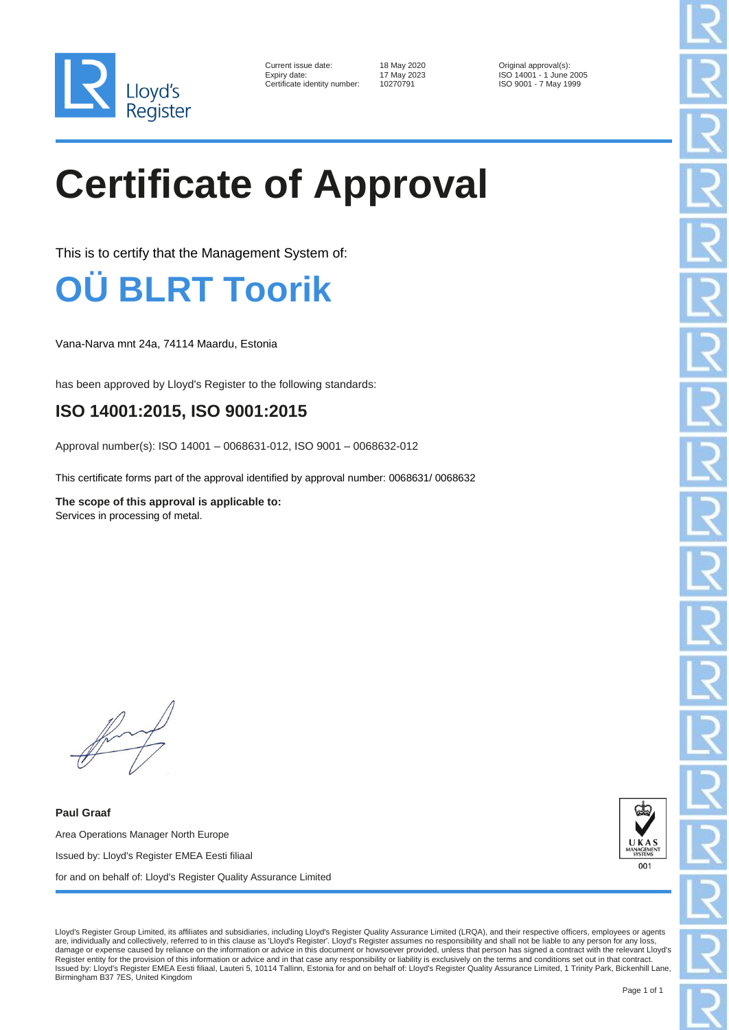

| Current issue date:          | 18 May 2020 | Original approval(s):   |
|------------------------------|-------------|-------------------------|
| Expiry date:                 | 17 May 2023 | ISO 14001 - 1 June 2005 |
| Certificate identity number: | 10270791    | ISO 9001 - 7 May 1999   |

18 May 2020 **Current issue data Current issues** Original approval(s):<br>17 May 2023 **Current ISO 14001 - 1 June** 

## **Certificate of Approval**

This is to certify that the Management System of:



Vana-Narva mnt 24a, 74114 Maardu, Estonia

has been approved by Lloyd's Register to the following standards:

## **ISO 14001:2015, ISO 9001:2015**

Approval number(s): ISO 14001 – 0068631-012, ISO 9001 – 0068632-012

This certificate forms part of the approval identified by approval number: 0068631/ 0068632

**The scope of this approval is applicable to:** Services in processing of metal.

**Paul Graaf** Area Operations Manager North Europe Issued by: Lloyd's Register EMEA Eesti filiaal for and on behalf of: Lloyd's Register Quality Assurance Limited



Lloyd's Register Group Limited, its affiliates and subsidiaries, including Lloyd's Register Quality Assurance Limited (LRQA), and their respective officers, employees or agents are, individually and collectively, referred to in this clause as 'Lloyd's Register'. Lloyd's Register assumes no responsibility and shall not be liable to any person for any loss, damage or expense caused by reliance on the information or advice in this document or howsoever provided, unless that person has signed a contract with the relevant Lloyd's Register entity for the provision of this information or advice and in that case any responsibility or liability is exclusively on the terms and conditions set out in that contract.<br>Issued by: Lloyd's Register EMEA Eesti f Birmingham B37 7ES, United Kingdom